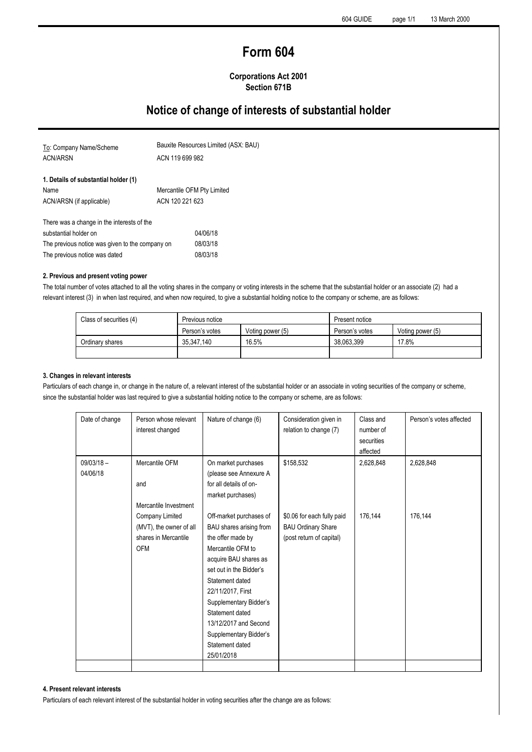# **Form 604**

### **Corporations Act 2001 Section 671B**

## **Notice of change of interests of substantial holder**

| To: Company Name/Scheme                         | Bauxite Resources Limited (ASX: BAU)<br>ACN 119 699 982 |  |  |
|-------------------------------------------------|---------------------------------------------------------|--|--|
| <b>ACN/ARSN</b>                                 |                                                         |  |  |
| 1. Details of substantial holder (1)            |                                                         |  |  |
| Name                                            | Mercantile OFM Pty Limited                              |  |  |
| ACN/ARSN (if applicable)                        | ACN 120 221 623                                         |  |  |
| There was a change in the interests of the      |                                                         |  |  |
| substantial holder on                           | 04/06/18                                                |  |  |
| The previous notice was given to the company on | 08/03/18                                                |  |  |
| The previous notice was dated                   | 08/03/18                                                |  |  |

#### **2. Previous and present voting power**

The total number of votes attached to all the voting shares in the company or voting interests in the scheme that the substantial holder or an associate (2) had a relevant interest (3) in when last required, and when now required, to give a substantial holding notice to the company or scheme, are as follows:

| Class of securities (4) | Previous notice |                  | Present notice |                  |
|-------------------------|-----------------|------------------|----------------|------------------|
|                         | Person's votes  | Voting power (5) | Person's votes | Voting power (5) |
| Ordinary shares         | 35.347.140      | 16.5%            | 38.063.399     | 17.8%            |
|                         |                 |                  |                |                  |

#### **3. Changes in relevant interests**

Particulars of each change in, or change in the nature of, a relevant interest of the substantial holder or an associate in voting securities of the company or scheme, since the substantial holder was last required to give a substantial holding notice to the company or scheme, are as follows:

| Date of change | Person whose relevant<br>interest changed | Nature of change (6)    | Consideration given in<br>relation to change (7) | Class and<br>number of | Person's votes affected |
|----------------|-------------------------------------------|-------------------------|--------------------------------------------------|------------------------|-------------------------|
|                |                                           |                         |                                                  | securities             |                         |
|                |                                           |                         |                                                  | affected               |                         |
| $09/03/18 -$   | Mercantile OFM                            | On market purchases     | \$158,532                                        | 2,628,848              | 2,628,848               |
| 04/06/18       |                                           | (please see Annexure A  |                                                  |                        |                         |
|                | and                                       | for all details of on-  |                                                  |                        |                         |
|                |                                           | market purchases)       |                                                  |                        |                         |
|                | Mercantile Investment                     |                         |                                                  |                        |                         |
|                | Company Limited                           | Off-market purchases of | \$0.06 for each fully paid                       | 176,144                | 176,144                 |
|                | (MVT), the owner of all                   | BAU shares arising from | <b>BAU Ordinary Share</b>                        |                        |                         |
|                | shares in Mercantile                      | the offer made by       | (post return of capital)                         |                        |                         |
|                | <b>OFM</b>                                | Mercantile OFM to       |                                                  |                        |                         |
|                |                                           | acquire BAU shares as   |                                                  |                        |                         |
|                |                                           | set out in the Bidder's |                                                  |                        |                         |
|                |                                           | Statement dated         |                                                  |                        |                         |
|                |                                           | 22/11/2017, First       |                                                  |                        |                         |
|                |                                           | Supplementary Bidder's  |                                                  |                        |                         |
|                |                                           | Statement dated         |                                                  |                        |                         |
|                |                                           | 13/12/2017 and Second   |                                                  |                        |                         |
|                |                                           | Supplementary Bidder's  |                                                  |                        |                         |
|                |                                           | Statement dated         |                                                  |                        |                         |
|                |                                           | 25/01/2018              |                                                  |                        |                         |
|                |                                           |                         |                                                  |                        |                         |

#### **4. Present relevant interests**

Particulars of each relevant interest of the substantial holder in voting securities after the change are as follows: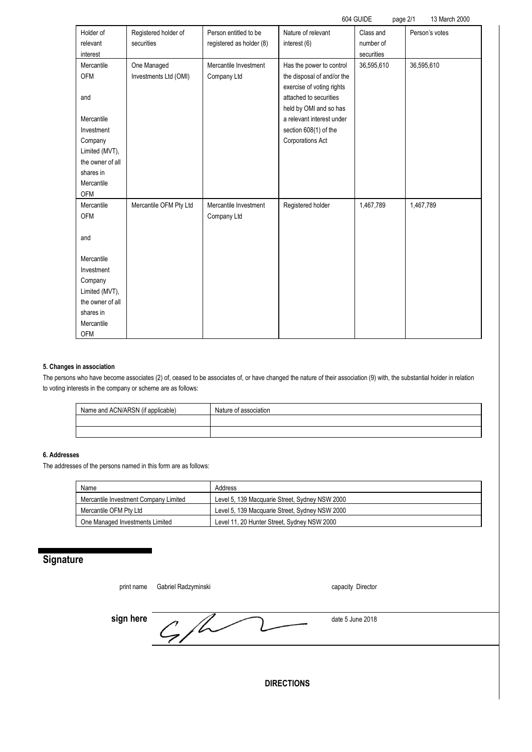|                                                                                                                                                       |                                      |                                                   |                                                                                                                                                                                                                   | 604 GUIDE<br>page 2/1                | 13 March 2000  |
|-------------------------------------------------------------------------------------------------------------------------------------------------------|--------------------------------------|---------------------------------------------------|-------------------------------------------------------------------------------------------------------------------------------------------------------------------------------------------------------------------|--------------------------------------|----------------|
| Holder of<br>relevant<br>interest                                                                                                                     | Registered holder of<br>securities   | Person entitled to be<br>registered as holder (8) | Nature of relevant<br>interest (6)                                                                                                                                                                                | Class and<br>number of<br>securities | Person's votes |
| Mercantile<br><b>OFM</b><br>and<br>Mercantile<br>Investment<br>Company<br>Limited (MVT),<br>the owner of all<br>shares in<br>Mercantile<br><b>OFM</b> | One Managed<br>Investments Ltd (OMI) | Mercantile Investment<br>Company Ltd              | Has the power to control<br>the disposal of and/or the<br>exercise of voting rights<br>attached to securities<br>held by OMI and so has<br>a relevant interest under<br>section 608(1) of the<br>Corporations Act | 36,595,610                           | 36,595,610     |
| Mercantile<br><b>OFM</b><br>and                                                                                                                       | Mercantile OFM Pty Ltd               | Mercantile Investment<br>Company Ltd              | Registered holder                                                                                                                                                                                                 | 1,467,789                            | 1,467,789      |
| Mercantile<br>Investment<br>Company<br>Limited (MVT),<br>the owner of all<br>shares in<br>Mercantile<br><b>OFM</b>                                    |                                      |                                                   |                                                                                                                                                                                                                   |                                      |                |

### **5. Changes in association**

The persons who have become associates (2) of, ceased to be associates of, or have changed the nature of their association (9) with, the substantial holder in relation to voting interests in the company or scheme are as follows:

| Name and ACN/ARSN (if applicable) | Nature of association |
|-----------------------------------|-----------------------|
|                                   |                       |
|                                   |                       |

## **6. Addresses**

The addresses of the persons named in this form are as follows:

٠

| Name                                  | Address                                        |
|---------------------------------------|------------------------------------------------|
| Mercantile Investment Company Limited | Level 5, 139 Macquarie Street, Sydney NSW 2000 |
| Mercantile OFM Ptv Ltd                | Level 5, 139 Macquarie Street, Sydney NSW 2000 |
| One Managed Investments Limited       | Level 11, 20 Hunter Street, Sydney NSW 2000    |

## **Signature**

| print name        | Gabriel Radzyminski | capacity Director |  |  |
|-------------------|---------------------|-------------------|--|--|
| sign here         |                     | date 5 June 2018  |  |  |
|                   |                     |                   |  |  |
| <b>DIRECTIONS</b> |                     |                   |  |  |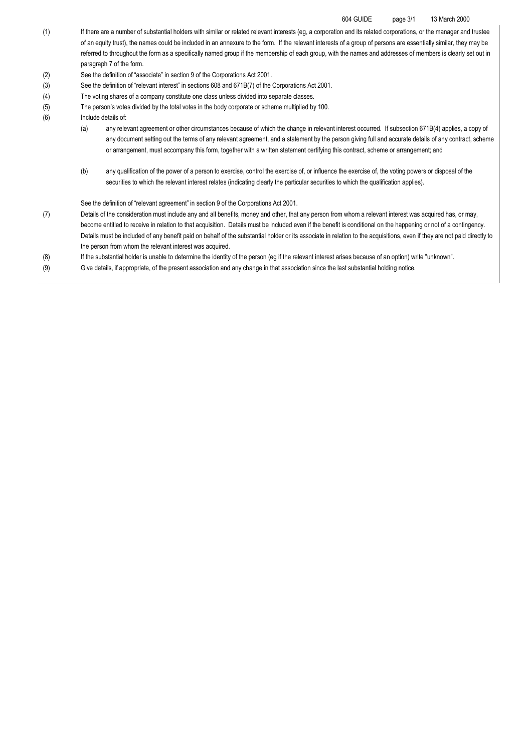#### 604 GUIDE page 3/1 13 March 2000

- (1) If there are a number of substantial holders with similar or related relevant interests (eg, a corporation and its related corporations, or the manager and trustee of an equity trust), the names could be included in an annexure to the form. If the relevant interests of a group of persons are essentially similar, they may be referred to throughout the form as a specifically named group if the membership of each group, with the names and addresses of members is clearly set out in paragraph 7 of the form.
- (2) See the definition of "associate" in section 9 of the Corporations Act 2001.
- (3) See the definition of "relevant interest" in sections 608 and 671B(7) of the Corporations Act 2001.
- (4) The voting shares of a company constitute one class unless divided into separate classes.
- (5) The person's votes divided by the total votes in the body corporate or scheme multiplied by 100.
- (6) Include details of:
	- (a) any relevant agreement or other circumstances because of which the change in relevant interest occurred. If subsection 671B(4) applies, a copy of any document setting out the terms of any relevant agreement, and a statement by the person giving full and accurate details of any contract, scheme or arrangement, must accompany this form, together with a written statement certifying this contract, scheme or arrangement; and
	- (b) any qualification of the power of a person to exercise, control the exercise of, or influence the exercise of, the voting powers or disposal of the securities to which the relevant interest relates (indicating clearly the particular securities to which the qualification applies).

See the definition of "relevant agreement" in section 9 of the Corporations Act 2001.

- (7) Details of the consideration must include any and all benefits, money and other, that any person from whom a relevant interest was acquired has, or may, become entitled to receive in relation to that acquisition. Details must be included even if the benefit is conditional on the happening or not of a contingency. Details must be included of any benefit paid on behalf of the substantial holder or its associate in relation to the acquisitions, even if they are not paid directly to the person from whom the relevant interest was acquired.
- (8) If the substantial holder is unable to determine the identity of the person (eg if the relevant interest arises because of an option) write "unknown".
- (9) Give details, if appropriate, of the present association and any change in that association since the last substantial holding notice.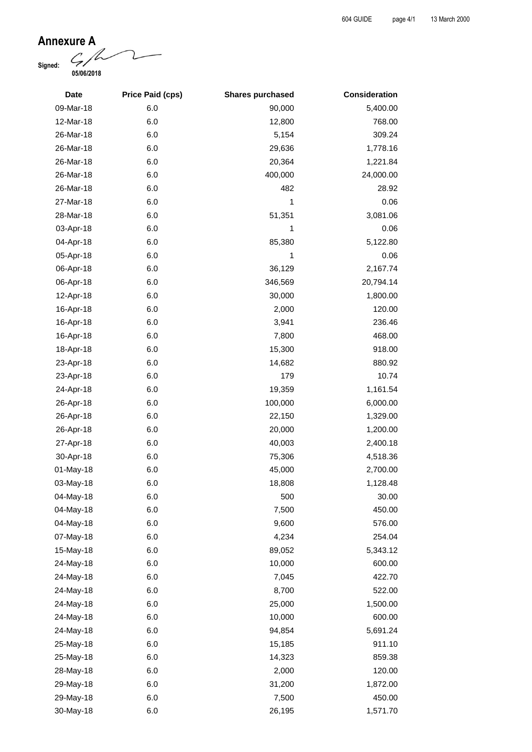**Annexure A**<br>Signed: **Signed: 05/06/2018**

| <b>Date</b> | <b>Price Paid (cps)</b> | <b>Shares purchased</b> | <b>Consideration</b> |
|-------------|-------------------------|-------------------------|----------------------|
| 09-Mar-18   | 6.0                     | 90,000                  | 5,400.00             |
| 12-Mar-18   | 6.0                     | 12,800                  | 768.00               |
| 26-Mar-18   | 6.0                     | 5,154                   | 309.24               |
| 26-Mar-18   | 6.0                     | 29,636                  | 1,778.16             |
| 26-Mar-18   | 6.0                     | 20,364                  | 1,221.84             |
| 26-Mar-18   | 6.0                     | 400,000                 | 24,000.00            |
| 26-Mar-18   | 6.0                     | 482                     | 28.92                |
| 27-Mar-18   | 6.0                     | 1                       | 0.06                 |
| 28-Mar-18   | 6.0                     | 51,351                  | 3,081.06             |
| 03-Apr-18   | 6.0                     | 1                       | 0.06                 |
| 04-Apr-18   | 6.0                     | 85,380                  | 5,122.80             |
| 05-Apr-18   | 6.0                     | 1                       | 0.06                 |
| 06-Apr-18   | 6.0                     | 36,129                  | 2,167.74             |
| 06-Apr-18   | 6.0                     | 346,569                 | 20,794.14            |
| 12-Apr-18   | 6.0                     | 30,000                  | 1,800.00             |
| 16-Apr-18   | 6.0                     | 2,000                   | 120.00               |
| 16-Apr-18   | 6.0                     | 3,941                   | 236.46               |
| 16-Apr-18   | 6.0                     | 7,800                   | 468.00               |
| 18-Apr-18   | 6.0                     | 15,300                  | 918.00               |
| 23-Apr-18   | 6.0                     | 14,682                  | 880.92               |
| 23-Apr-18   | 6.0                     | 179                     | 10.74                |
| 24-Apr-18   | 6.0                     | 19,359                  | 1,161.54             |
| 26-Apr-18   | 6.0                     | 100,000                 | 6,000.00             |
| 26-Apr-18   | 6.0                     | 22,150                  | 1,329.00             |
| 26-Apr-18   | 6.0                     | 20,000                  | 1,200.00             |
| 27-Apr-18   | 6.0                     | 40,003                  | 2,400.18             |
| 30-Apr-18   | 6.0                     | 75,306                  | 4,518.36             |
| 01-May-18   | 6.0                     | 45,000                  | 2,700.00             |
| 03-May-18   | 6.0                     | 18,808                  | 1,128.48             |
| 04-May-18   | 6.0                     | 500                     | 30.00                |
| 04-May-18   | 6.0                     | 7,500                   | 450.00               |
| 04-May-18   | 6.0                     | 9,600                   | 576.00               |
| 07-May-18   | 6.0                     | 4,234                   | 254.04               |
| 15-May-18   | 6.0                     | 89,052                  | 5,343.12             |
| 24-May-18   | 6.0                     | 10,000                  | 600.00               |
| 24-May-18   | 6.0                     | 7,045                   | 422.70               |
| 24-May-18   | 6.0                     | 8,700                   | 522.00               |
| 24-May-18   | 6.0                     | 25,000                  | 1,500.00             |
| 24-May-18   | 6.0                     | 10,000                  | 600.00               |
| 24-May-18   | 6.0                     | 94,854                  | 5,691.24             |
| 25-May-18   | 6.0                     | 15,185                  | 911.10               |
| 25-May-18   | 6.0                     | 14,323                  | 859.38               |
| 28-May-18   | 6.0                     | 2,000                   | 120.00               |
| 29-May-18   | 6.0                     | 31,200                  | 1,872.00             |
| 29-May-18   | 6.0                     | 7,500                   | 450.00               |
| 30-May-18   | 6.0                     | 26,195                  | 1,571.70             |